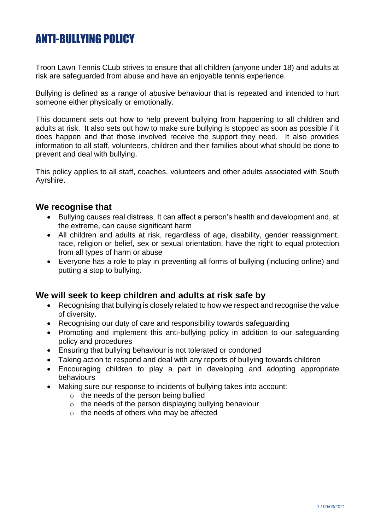# ANTI-BULLYING POLICY

Troon Lawn Tennis CLub strives to ensure that all children (anyone under 18) and adults at risk are safeguarded from abuse and have an enjoyable tennis experience.

Bullying is defined as a range of abusive behaviour that is repeated and intended to hurt someone either physically or emotionally.

This document sets out how to help prevent bullying from happening to all children and adults at risk. It also sets out how to make sure bullying is stopped as soon as possible if it does happen and that those involved receive the support they need. It also provides information to all staff, volunteers, children and their families about what should be done to prevent and deal with bullying.

This policy applies to all staff, coaches, volunteers and other adults associated with South Ayrshire.

#### **We recognise that**

- Bullying causes real distress. It can affect a person's health and development and, at the extreme, can cause significant harm
- All children and adults at risk, regardless of age, disability, gender reassignment, race, religion or belief, sex or sexual orientation, have the right to equal protection from all types of harm or abuse
- Everyone has a role to play in preventing all forms of bullying (including online) and putting a stop to bullying.

## **We will seek to keep children and adults at risk safe by**

- Recognising that bullying is closely related to how we respect and recognise the value of diversity.
- Recognising our duty of care and responsibility towards safeguarding
- Promoting and implement this anti-bullying policy in addition to our safeguarding policy and procedures
- Ensuring that bullying behaviour is not tolerated or condoned
- Taking action to respond and deal with any reports of bullying towards children
- Encouraging children to play a part in developing and adopting appropriate behaviours
- Making sure our response to incidents of bullying takes into account:
	- o the needs of the person being bullied
	- o the needs of the person displaying bullying behaviour
	- o the needs of others who may be affected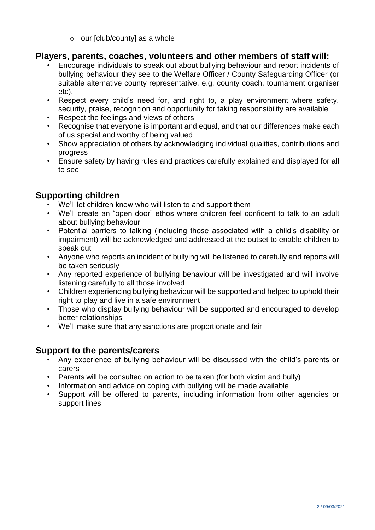$\circ$  our [club/county] as a whole

### **Players, parents, coaches, volunteers and other members of staff will:**

- Encourage individuals to speak out about bullying behaviour and report incidents of bullying behaviour they see to the Welfare Officer / County Safeguarding Officer (or suitable alternative county representative, e.g. county coach, tournament organiser etc).
- Respect every child's need for, and right to, a play environment where safety, security, praise, recognition and opportunity for taking responsibility are available
- Respect the feelings and views of others
- Recognise that everyone is important and equal, and that our differences make each of us special and worthy of being valued
- Show appreciation of others by acknowledging individual qualities, contributions and progress
- Ensure safety by having rules and practices carefully explained and displayed for all to see

## **Supporting children**

- We'll let children know who will listen to and support them
- We'll create an "open door" ethos where children feel confident to talk to an adult about bullying behaviour
- Potential barriers to talking (including those associated with a child's disability or impairment) will be acknowledged and addressed at the outset to enable children to speak out
- Anyone who reports an incident of bullying will be listened to carefully and reports will be taken seriously
- Any reported experience of bullying behaviour will be investigated and will involve listening carefully to all those involved
- Children experiencing bullying behaviour will be supported and helped to uphold their right to play and live in a safe environment
- Those who display bullying behaviour will be supported and encouraged to develop better relationships
- We'll make sure that any sanctions are proportionate and fair

## **Support to the parents/carers**

- Any experience of bullying behaviour will be discussed with the child's parents or carers
- Parents will be consulted on action to be taken (for both victim and bully)
- Information and advice on coping with bullying will be made available
- Support will be offered to parents, including information from other agencies or support lines